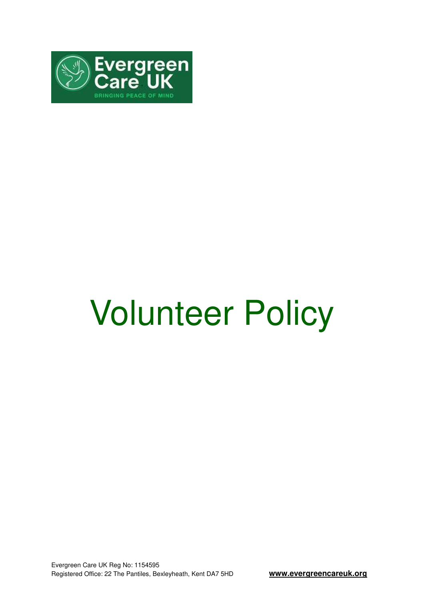

# Volunteer Policy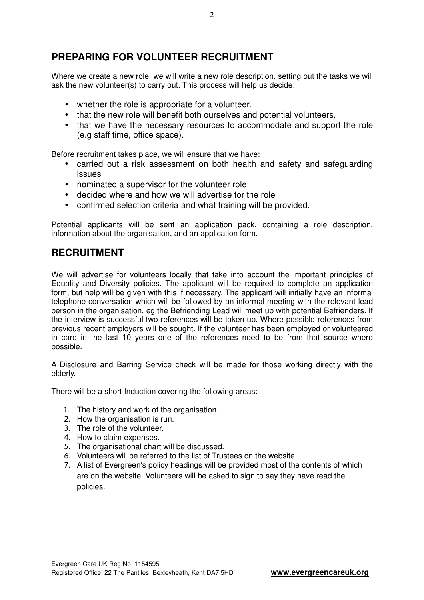# **PREPARING FOR VOLUNTEER RECRUITMENT**

Where we create a new role, we will write a new role description, setting out the tasks we will ask the new volunteer(s) to carry out. This process will help us decide:

- whether the role is appropriate for a volunteer.
- that the new role will benefit both ourselves and potential volunteers.
- that we have the necessary resources to accommodate and support the role (e.g staff time, office space).

Before recruitment takes place, we will ensure that we have:

- carried out a risk assessment on both health and safety and safeguarding issues
- nominated a supervisor for the volunteer role
- decided where and how we will advertise for the role
- confirmed selection criteria and what training will be provided.

Potential applicants will be sent an application pack, containing a role description, information about the organisation, and an application form.

## **RECRUITMENT**

We will advertise for volunteers locally that take into account the important principles of Equality and Diversity policies. The applicant will be required to complete an application form, but help will be given with this if necessary. The applicant will initially have an informal telephone conversation which will be followed by an informal meeting with the relevant lead person in the organisation, eg the Befriending Lead will meet up with potential Befrienders. If the interview is successful two references will be taken up. Where possible references from previous recent employers will be sought. If the volunteer has been employed or volunteered in care in the last 10 years one of the references need to be from that source where possible.

A Disclosure and Barring Service check will be made for those working directly with the elderly.

There will be a short Induction covering the following areas:

- 1. The history and work of the organisation.
- 2. How the organisation is run.
- 3. The role of the volunteer.
- 4. How to claim expenses.
- 5. The organisational chart will be discussed.
- 6. Volunteers will be referred to the list of Trustees on the website.
- 7. A list of Evergreen's policy headings will be provided most of the contents of which are on the website. Volunteers will be asked to sign to say they have read the policies.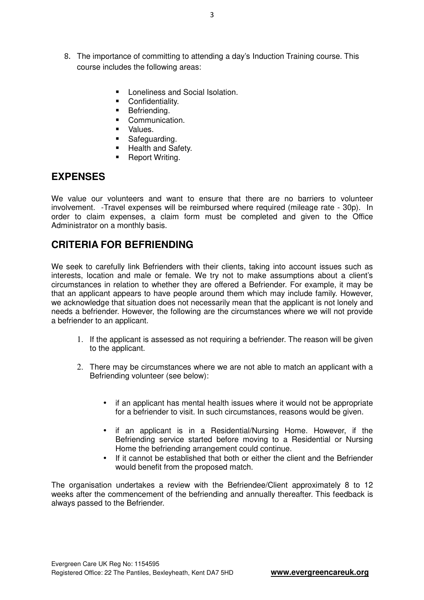- 8. The importance of committing to attending a day's Induction Training course. This course includes the following areas:
	- Loneliness and Social Isolation.
	- **Confidentiality.**
	- **Befriending.**
	- Communication.
	- Values.
	- Safeguarding.
	- **Health and Safety.**
	- Report Writing.

#### **EXPENSES**

We value our volunteers and want to ensure that there are no barriers to volunteer involvement. -Travel expenses will be reimbursed where required (mileage rate - 30p). In order to claim expenses, a claim form must be completed and given to the Office Administrator on a monthly basis.

## **CRITERIA FOR BEFRIENDING**

We seek to carefully link Befrienders with their clients, taking into account issues such as interests, location and male or female. We try not to make assumptions about a client's circumstances in relation to whether they are offered a Befriender. For example, it may be that an applicant appears to have people around them which may include family. However, we acknowledge that situation does not necessarily mean that the applicant is not lonely and needs a befriender. However, the following are the circumstances where we will not provide a befriender to an applicant.

- 1. If the applicant is assessed as not requiring a befriender. The reason will be given to the applicant.
- 2. There may be circumstances where we are not able to match an applicant with a Befriending volunteer (see below):
	- if an applicant has mental health issues where it would not be appropriate for a befriender to visit. In such circumstances, reasons would be given.
	- if an applicant is in a Residential/Nursing Home. However, if the Befriending service started before moving to a Residential or Nursing Home the befriending arrangement could continue.
	- If it cannot be established that both or either the client and the Befriender would benefit from the proposed match.

The organisation undertakes a review with the Befriendee/Client approximately 8 to 12 weeks after the commencement of the befriending and annually thereafter. This feedback is always passed to the Befriender.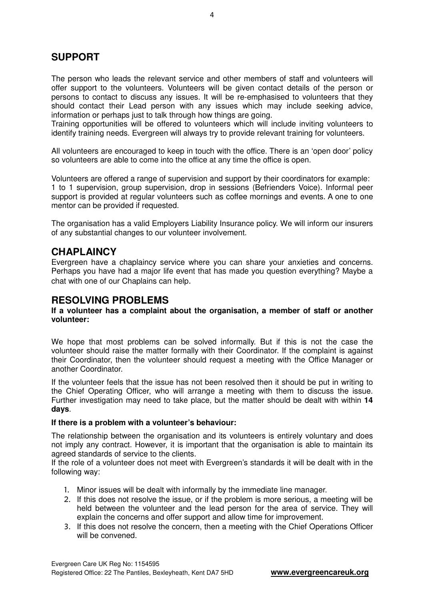## **SUPPORT**

The person who leads the relevant service and other members of staff and volunteers will offer support to the volunteers. Volunteers will be given contact details of the person or persons to contact to discuss any issues. It will be re-emphasised to volunteers that they should contact their Lead person with any issues which may include seeking advice, information or perhaps just to talk through how things are going.

Training opportunities will be offered to volunteers which will include inviting volunteers to identify training needs. Evergreen will always try to provide relevant training for volunteers.

All volunteers are encouraged to keep in touch with the office. There is an 'open door' policy so volunteers are able to come into the office at any time the office is open.

Volunteers are offered a range of supervision and support by their coordinators for example: 1 to 1 supervision, group supervision, drop in sessions (Befrienders Voice). Informal peer support is provided at regular volunteers such as coffee mornings and events. A one to one mentor can be provided if requested.

The organisation has a valid Employers Liability Insurance policy. We will inform our insurers of any substantial changes to our volunteer involvement.

### **CHAPLAINCY**

Evergreen have a chaplaincy service where you can share your anxieties and concerns. Perhaps you have had a major life event that has made you question everything? Maybe a chat with one of our Chaplains can help.

#### **RESOLVING PROBLEMS**

#### **If a volunteer has a complaint about the organisation, a member of staff or another volunteer:**

We hope that most problems can be solved informally. But if this is not the case the volunteer should raise the matter formally with their Coordinator. If the complaint is against their Coordinator, then the volunteer should request a meeting with the Office Manager or another Coordinator.

If the volunteer feels that the issue has not been resolved then it should be put in writing to the Chief Operating Officer, who will arrange a meeting with them to discuss the issue. Further investigation may need to take place, but the matter should be dealt with within **14 days**.

#### **If there is a problem with a volunteer's behaviour:**

The relationship between the organisation and its volunteers is entirely voluntary and does not imply any contract. However, it is important that the organisation is able to maintain its agreed standards of service to the clients.

If the role of a volunteer does not meet with Evergreen's standards it will be dealt with in the following way:

- 1. Minor issues will be dealt with informally by the immediate line manager.
- 2. If this does not resolve the issue, or if the problem is more serious, a meeting will be held between the volunteer and the lead person for the area of service. They will explain the concerns and offer support and allow time for improvement.
- 3. If this does not resolve the concern, then a meeting with the Chief Operations Officer will be convened.